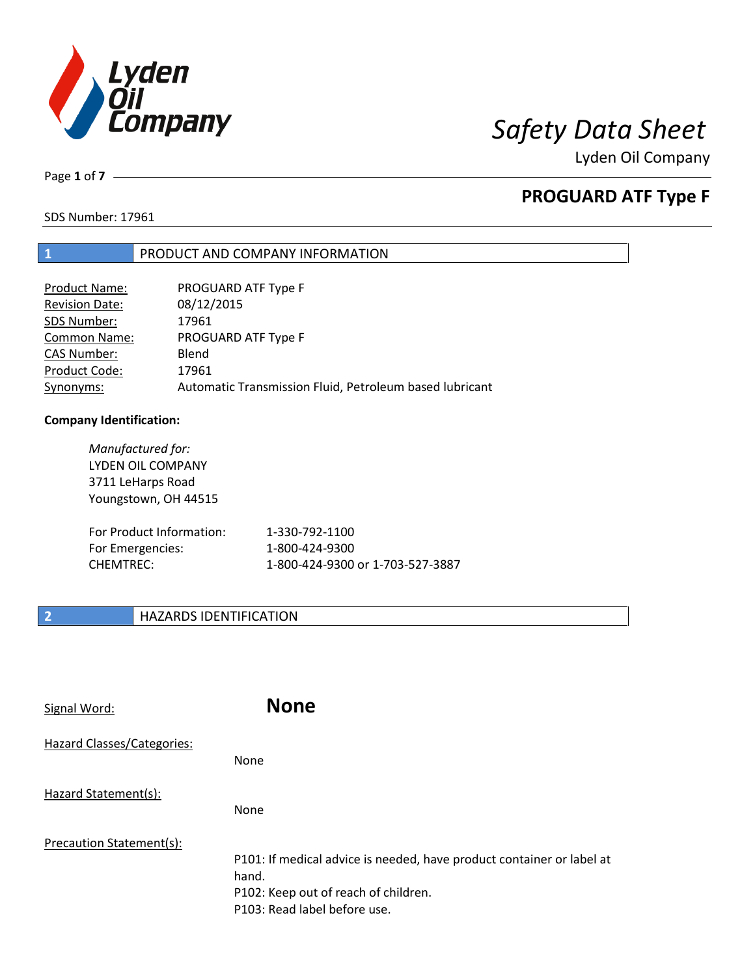

Lyden Oil Company

Page **1** of **7**

# **PROGUARD ATF Type F**

SDS Number: 17961

### **1** PRODUCT AND COMPANY INFORMATION

| Product Name:         | PROGUARD ATF Type F                                     |
|-----------------------|---------------------------------------------------------|
| <b>Revision Date:</b> | 08/12/2015                                              |
| SDS Number:           | 17961                                                   |
| <b>Common Name:</b>   | PROGUARD ATF Type F                                     |
| <b>CAS Number:</b>    | Blend                                                   |
| Product Code:         | 17961                                                   |
| Synonyms:             | Automatic Transmission Fluid, Petroleum based lubricant |

### **Company Identification:**

| Manufactured for:<br>LYDEN OIL COMPANY<br>3711 LeHarps Road<br>Youngstown, OH 44515 |                                  |
|-------------------------------------------------------------------------------------|----------------------------------|
| For Product Information:                                                            | 1-330-792-1100                   |
| For Emergencies:                                                                    | 1-800-424-9300                   |
| <b>CHEMTREC:</b>                                                                    | 1-800-424-9300 or 1-703-527-3887 |

### **2 HAZARDS IDENTIFICATION**

| Signal Word:               | <b>None</b>                                                                                                                                            |
|----------------------------|--------------------------------------------------------------------------------------------------------------------------------------------------------|
| Hazard Classes/Categories: | None                                                                                                                                                   |
| Hazard Statement(s):       | None                                                                                                                                                   |
| Precaution Statement(s):   | P101: If medical advice is needed, have product container or label at<br>hand.<br>P102: Keep out of reach of children.<br>P103: Read label before use. |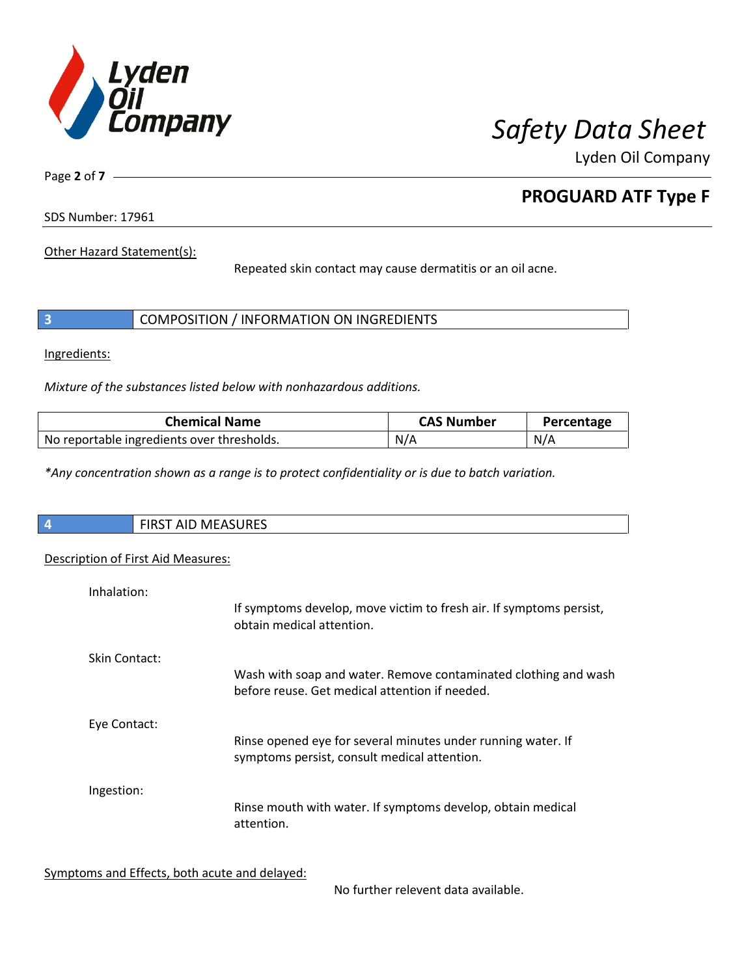

Lyden Oil Company

Page **2** of **7**

# **PROGUARD ATF Type F**

SDS Number: 17961

Other Hazard Statement(s):

Repeated skin contact may cause dermatitis or an oil acne.

|  | COMPOSITION / INFORMATION ON INGREDIENTS |
|--|------------------------------------------|
|--|------------------------------------------|

Ingredients:

*Mixture of the substances listed below with nonhazardous additions.*

| <b>Chemical Name</b>                       | <b>CAS Number</b> | Percentage |
|--------------------------------------------|-------------------|------------|
| No reportable ingredients over thresholds. | N/A               | N/A        |

*\*Any concentration shown as a range is to protect confidentiality or is due to batch variation.*

| $\overline{4}$ | <b>ALCACLIDEC</b><br>$\overline{A}$<br>$\mathbf{v}$<br>IVI I<br>.<br>. .<br>באחטכר |
|----------------|------------------------------------------------------------------------------------|
|                |                                                                                    |

### Description of First Aid Measures:

| Inhalation:   | If symptoms develop, move victim to fresh air. If symptoms persist,                                               |
|---------------|-------------------------------------------------------------------------------------------------------------------|
|               | obtain medical attention.                                                                                         |
| Skin Contact: |                                                                                                                   |
|               | Wash with soap and water. Remove contaminated clothing and wash<br>before reuse. Get medical attention if needed. |
| Eye Contact:  |                                                                                                                   |
|               | Rinse opened eye for several minutes under running water. If<br>symptoms persist, consult medical attention.      |
| Ingestion:    |                                                                                                                   |
|               | Rinse mouth with water. If symptoms develop, obtain medical<br>attention.                                         |

Symptoms and Effects, both acute and delayed:

No further relevent data available.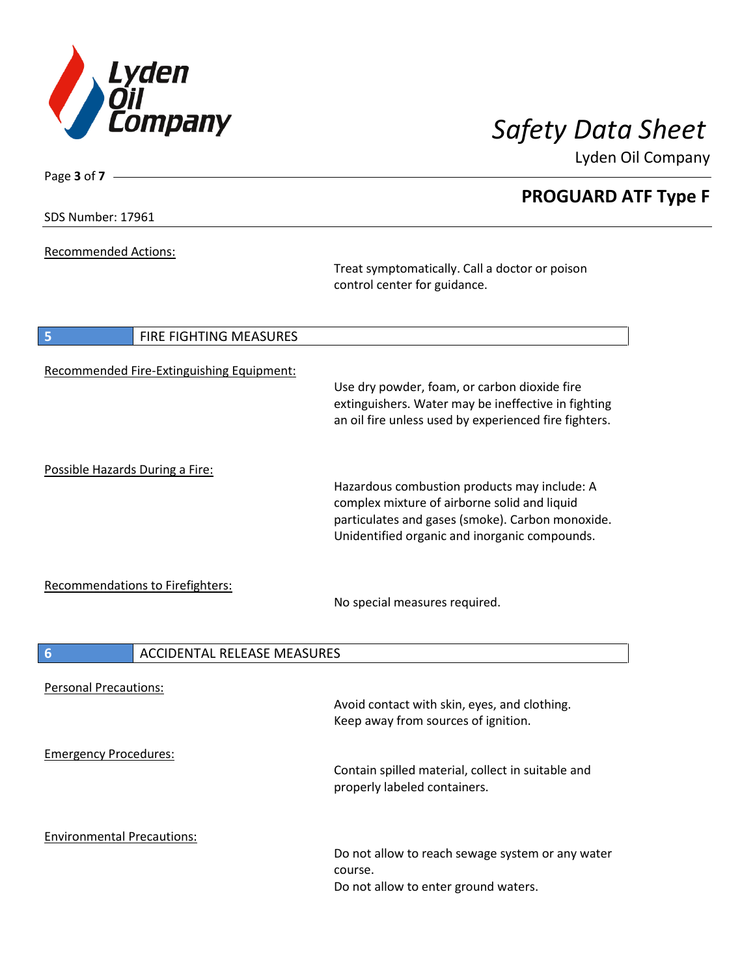

Lyden Oil Company

SDS Number: 17961

Page **3** of **7**

Recommended Actions:

Treat symptomatically. Call a doctor or poison control center for guidance.

| 5                                 | <b>FIRE FIGHTING MEASURES</b>             |                                                                                                                                                                                                   |
|-----------------------------------|-------------------------------------------|---------------------------------------------------------------------------------------------------------------------------------------------------------------------------------------------------|
|                                   | Recommended Fire-Extinguishing Equipment: | Use dry powder, foam, or carbon dioxide fire<br>extinguishers. Water may be ineffective in fighting<br>an oil fire unless used by experienced fire fighters.                                      |
| Possible Hazards During a Fire:   |                                           | Hazardous combustion products may include: A<br>complex mixture of airborne solid and liquid<br>particulates and gases (smoke). Carbon monoxide.<br>Unidentified organic and inorganic compounds. |
|                                   | Recommendations to Firefighters:          | No special measures required.                                                                                                                                                                     |
| $6\phantom{1}6$                   | <b>ACCIDENTAL RELEASE MEASURES</b>        |                                                                                                                                                                                                   |
| <b>Personal Precautions:</b>      |                                           | Avoid contact with skin, eyes, and clothing.<br>Keep away from sources of ignition.                                                                                                               |
| <b>Emergency Procedures:</b>      |                                           | Contain spilled material, collect in suitable and<br>properly labeled containers.                                                                                                                 |
| <b>Environmental Precautions:</b> |                                           | Do not allow to reach sewage system or any water<br>course.<br>Do not allow to enter ground waters.                                                                                               |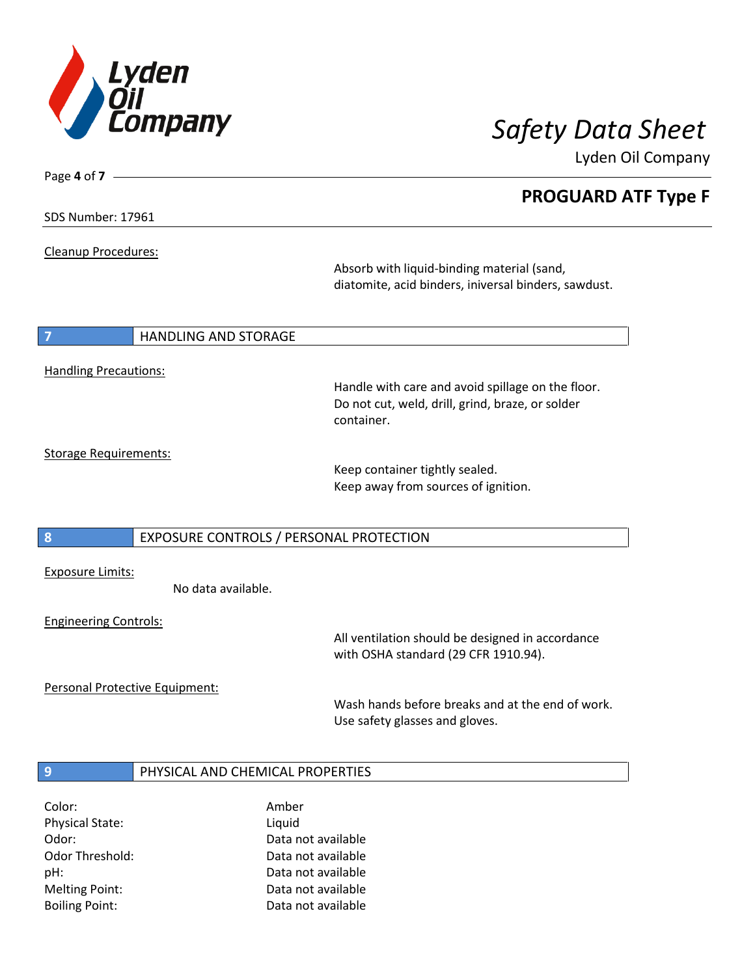

Lyden Oil Company

| <b>SDS Number: 17961</b> |  |
|--------------------------|--|
|--------------------------|--|

Page **4** of **7**

Cleanup Procedures:

Absorb with liquid-binding material (sand, diatomite, acid binders, iniversal binders, sawdust.

#### **7 HANDLING AND STORAGE**

### Handling Precautions:

Handle with care and avoid spillage on the floor. Do not cut, weld, drill, grind, braze, or solder container.

### Storage Requirements:

Keep container tightly sealed. Keep away from sources of ignition.

#### **8** EXPOSURE CONTROLS / PERSONAL PROTECTION

Exposure Limits:

No data available.

#### Engineering Controls:

All ventilation should be designed in accordance with OSHA standard (29 CFR 1910.94).

Personal Protective Equipment:

Wash hands before breaks and at the end of work. Use safety glasses and gloves.

### **9** PHYSICAL AND CHEMICAL PROPERTIES

Color: Amber Physical State: Liquid

Odor: Data not available Odor Threshold: Data not available pH: Data not available Melting Point: Data not available Boiling Point: Data not available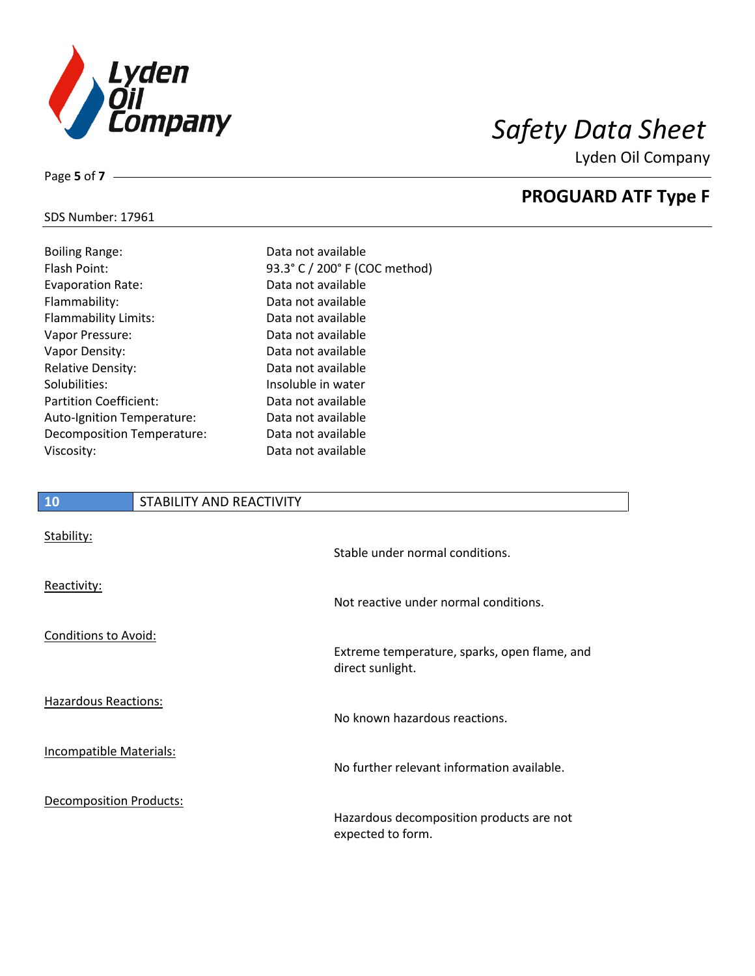

Lyden Oil Company

### SDS Number: 17961

Hazardous Reactions:

Incompatible Materials:

Decomposition Products:

| <b>Boiling Range:</b>         | Data not available   |
|-------------------------------|----------------------|
| <b>Flash Point:</b>           | 93.3° C / 200° F (C) |
| <b>Evaporation Rate:</b>      | Data not available   |
| Flammability:                 | Data not available   |
| <b>Flammability Limits:</b>   | Data not available   |
| Vapor Pressure:               | Data not available   |
| Vapor Density:                | Data not available   |
| <b>Relative Density:</b>      | Data not available   |
| Solubilities:                 | Insoluble in water   |
| <b>Partition Coefficient:</b> | Data not available   |
| Auto-Ignition Temperature:    | Data not available   |
| Decomposition Temperature:    | Data not available   |
| Viscosity:                    | Data not available   |
|                               |                      |

# available **10** STABILITY AND REACTIVITY Stability: Stable under normal conditions. Reactivity: Not reactive under normal conditions. Conditions to Avoid: Extreme temperature, sparks, open flame, and direct sunlight.

200° F (COC method)

No known hazardous reactions.

No further relevant information available.

Hazardous decomposition products are not expected to form.

Page **5** of **7**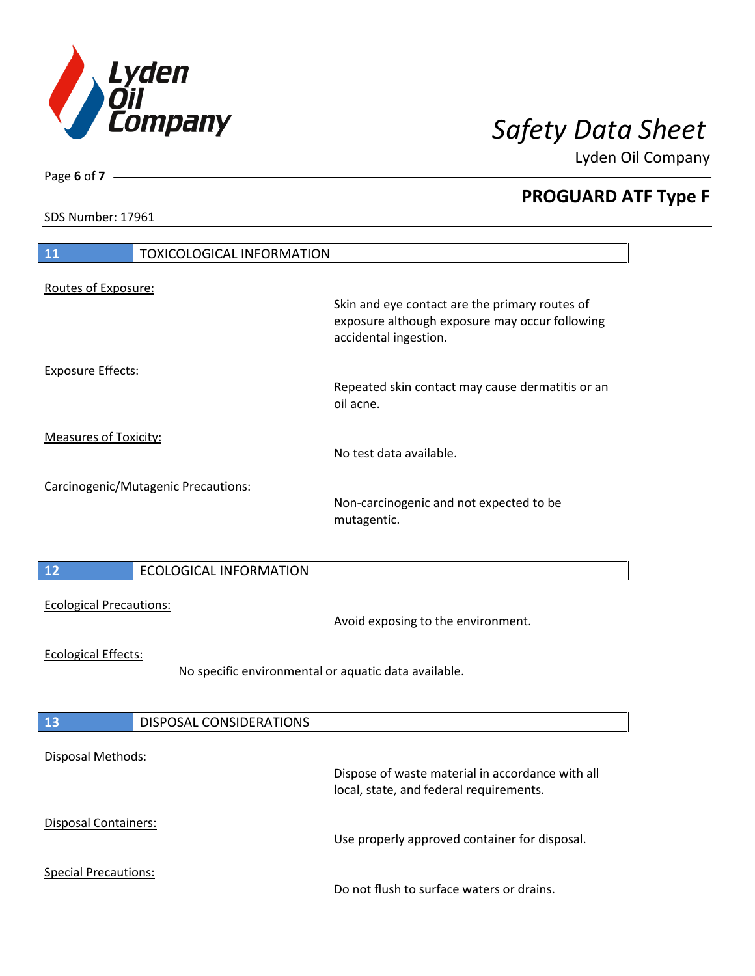

Lyden Oil Company

SDS Number: 17961

Page **6** of **7**

| 11<br><b>TOXICOLOGICAL INFORMATION</b>                                             |                                                                                                                           |  |
|------------------------------------------------------------------------------------|---------------------------------------------------------------------------------------------------------------------------|--|
| Routes of Exposure:                                                                | Skin and eye contact are the primary routes of<br>exposure although exposure may occur following<br>accidental ingestion. |  |
| <b>Exposure Effects:</b>                                                           | Repeated skin contact may cause dermatitis or an<br>oil acne.                                                             |  |
| <b>Measures of Toxicity:</b>                                                       | No test data available.                                                                                                   |  |
| Carcinogenic/Mutagenic Precautions:                                                | Non-carcinogenic and not expected to be<br>mutagentic.                                                                    |  |
| $12$<br><b>ECOLOGICAL INFORMATION</b>                                              |                                                                                                                           |  |
| <b>Ecological Precautions:</b>                                                     | Avoid exposing to the environment.                                                                                        |  |
| <b>Ecological Effects:</b><br>No specific environmental or aquatic data available. |                                                                                                                           |  |
| <b>13</b><br>DISPOSAL CONSIDERATIONS                                               |                                                                                                                           |  |
| <b>Disposal Methods:</b>                                                           | Dispose of waste material in accordance with all<br>local, state, and federal requirements.                               |  |
| Disposal Containers:                                                               | Use properly approved container for disposal.                                                                             |  |
| <b>Special Precautions:</b>                                                        | Do not flush to surface waters or drains.                                                                                 |  |